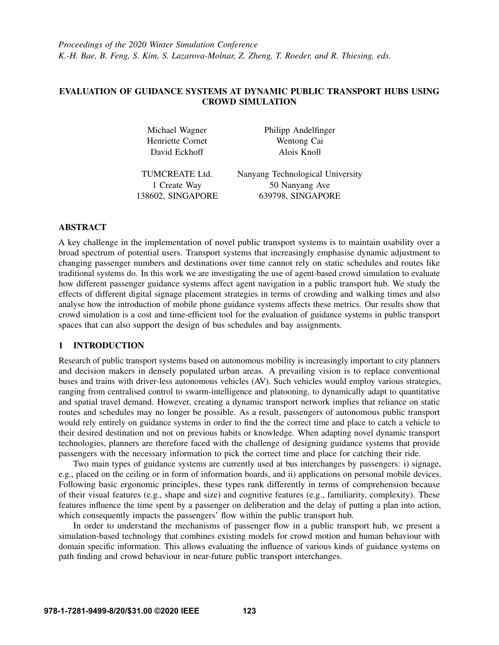*Proceedings of the 2020 Winter Simulation Conference K.-H. Bae, B. Feng, S. Kim, S. Lazarova-Molnar, Z. Zheng, T. Roeder, and R. Thiesing, eds.*

# EVALUATION OF GUIDANCE SYSTEMS AT DYNAMIC PUBLIC TRANSPORT HUBS USING CROWD SIMULATION

Henriette Cornet Wentong Cai David Eckhoff Alois Knoll

Michael Wagner Philipp Andelfinger

TUMCREATE Ltd. Nanyang Technological University 1 Create Way 50 Nanyang Ave 138602, SINGAPORE 639798, SINGAPORE

## ABSTRACT

A key challenge in the implementation of novel public transport systems is to maintain usability over a broad spectrum of potential users. Transport systems that increasingly emphasise dynamic adjustment to changing passenger numbers and destinations over time cannot rely on static schedules and routes like traditional systems do. In this work we are investigating the use of agent-based crowd simulation to evaluate how different passenger guidance systems affect agent navigation in a public transport hub. We study the effects of different digital signage placement strategies in terms of crowding and walking times and also analyse how the introduction of mobile phone guidance systems affects these metrics. Our results show that crowd simulation is a cost and time-efficient tool for the evaluation of guidance systems in public transport spaces that can also support the design of bus schedules and bay assignments.

## 1 INTRODUCTION

Research of public transport systems based on autonomous mobility is increasingly important to city planners and decision makers in densely populated urban areas. A prevailing vision is to replace conventional buses and trains with driver-less autonomous vehicles (AV). Such vehicles would employ various strategies, ranging from centralised control to swarm-intelligence and platooning, to dynamically adapt to quantitative and spatial travel demand. However, creating a dynamic transport network implies that reliance on static routes and schedules may no longer be possible. As a result, passengers of autonomous public transport would rely entirely on guidance systems in order to find the the correct time and place to catch a vehicle to their desired destination and not on previous habits or knowledge. When adapting novel dynamic transport technologies, planners are therefore faced with the challenge of designing guidance systems that provide passengers with the necessary information to pick the correct time and place for catching their ride.

Two main types of guidance systems are currently used at bus interchanges by passengers: i) signage, e.g., placed on the ceiling or in form of information boards, and ii) applications on personal mobile devices. Following basic ergonomic principles, these types rank differently in terms of comprehension because of their visual features (e.g., shape and size) and cognitive features (e.g., familiarity, complexity). These features influence the time spent by a passenger on deliberation and the delay of putting a plan into action, which consequently impacts the passengers' flow within the public transport hub.

In order to understand the mechanisms of passenger flow in a public transport hub, we present a simulation-based technology that combines existing models for crowd motion and human behaviour with domain specific information. This allows evaluating the influence of various kinds of guidance systems on path finding and crowd behaviour in near-future public transport interchanges.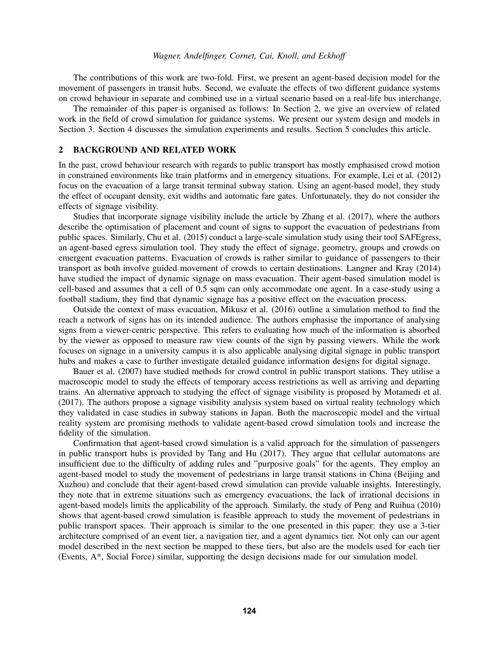The contributions of this work are two-fold. First, we present an agent-based decision model for the movement of passengers in transit hubs. Second, we evaluate the effects of two different guidance systems on crowd behaviour in separate and combined use in a virtual scenario based on a real-life bus interchange.

The remainder of this paper is organised as follows: In Section [2,](#page-1-0) we give an overview of related work in the field of crowd simulation for guidance systems. We present our system design and models in Section [3.](#page-2-0) Section [4](#page-5-0) discusses the simulation experiments and results. Section [5](#page-9-0) concludes this article.

## <span id="page-1-0"></span>2 BACKGROUND AND RELATED WORK

In the past, crowd behaviour research with regards to public transport has mostly emphasised crowd motion in constrained environments like train platforms and in emergency situations. For example, [Lei et al. \(2012\)](#page-10-0) focus on the evacuation of a large transit terminal subway station. Using an agent-based model, they study the effect of occupant density, exit widths and automatic fare gates. Unfortunately, they do not consider the effects of signage visibility.

Studies that incorporate signage visibility include the article by [Zhang et al. \(2017\),](#page-11-0) where the authors describe the optimisation of placement and count of signs to support the evacuation of pedestrians from public spaces. Similarly, [Chu et al. \(2015\)](#page-10-1) conduct a large-scale simulation study using their tool SAFEgress, an agent-based egress simulation tool. They study the effect of signage, geometry, groups and crowds on emergent evacuation patterns. Evacuation of crowds is rather similar to guidance of passengers to their transport as both involve guided movement of crowds to certain destinations. [Langner and Kray \(2014\)](#page-10-2) have studied the impact of dynamic signage on mass evacuation. Their agent-based simulation model is cell-based and assumes that a cell of 0.5 sqm can only accommodate one agent. In a case-study using a football stadium, they find that dynamic signage has a positive effect on the evacuation process.

Outside the context of mass evacuation, [Mikusz et al. \(2016\)](#page-10-3) outline a simulation method to find the reach a network of signs has on its intended audience. The authors emphasise the importance of analysing signs from a viewer-centric perspective. This refers to evaluating how much of the information is absorbed by the viewer as opposed to measure raw view counts of the sign by passing viewers. While the work focuses on signage in a university campus it is also applicable analysing digital signage in public transport hubs and makes a case to further investigate detailed guidance information designs for digital signage.

[Bauer et al. \(2007\)](#page-10-4) have studied methods for crowd control in public transport stations. They utilise a macroscopic model to study the effects of temporary access restrictions as well as arriving and departing trains. An alternative approach to studying the effect of signage visibility is proposed by [Motamedi et al.](#page-10-5) [\(2017\).](#page-10-5) The authors propose a signage visibility analysis system based on virtual reality technology which they validated in case studies in subway stations in Japan. Both the macroscopic model and the virtual reality system are promising methods to validate agent-based crowd simulation tools and increase the fidelity of the simulation.

Confirmation that agent-based crowd simulation is a valid approach for the simulation of passengers in public transport hubs is provided by [Tang and Hu \(2017\).](#page-10-6) They argue that cellular automatons are insufficient due to the difficulty of adding rules and "purposive goals" for the agents. They employ an agent-based model to study the movement of pedestrians in large transit stations in China (Beijing and Xuzhou) and conclude that their agent-based crowd simulation can provide valuable insights. Interestingly, they note that in extreme situations such as emergency evacuations, the lack of irrational decisions in agent-based models limits the applicability of the approach. Similarly, the study of [Peng and Ruihua \(2010\)](#page-10-7) shows that agent-based crowd simulation is feasible approach to study the movement of pedestrians in public transport spaces. Their approach is similar to the one presented in this paper: they use a 3-tier architecture comprised of an event tier, a navigation tier, and a agent dynamics tier. Not only can our agent model described in the next section be mapped to these tiers, but also are the models used for each tier (Events, A\*, Social Force) similar, supporting the design decisions made for our simulation model.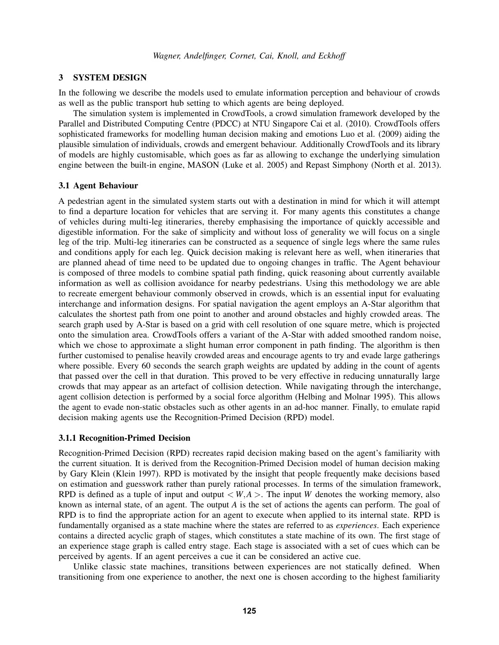## <span id="page-2-0"></span>3 SYSTEM DESIGN

In the following we describe the models used to emulate information perception and behaviour of crowds as well as the public transport hub setting to which agents are being deployed.

The simulation system is implemented in CrowdTools, a crowd simulation framework developed by the Parallel and Distributed Computing Centre (PDCC) at NTU Singapore [Cai et al. \(2010\).](#page-10-8) CrowdTools offers sophisticated frameworks for modelling human decision making and emotions [Luo et al. \(2009\)](#page-10-9) aiding the plausible simulation of individuals, crowds and emergent behaviour. Additionally CrowdTools and its library of models are highly customisable, which goes as far as allowing to exchange the underlying simulation engine between the built-in engine, MASON [\(Luke et al. 2005\)](#page-10-10) and Repast Simphony [\(North et al. 2013\)](#page-10-11).

## 3.1 Agent Behaviour

A pedestrian agent in the simulated system starts out with a destination in mind for which it will attempt to find a departure location for vehicles that are serving it. For many agents this constitutes a change of vehicles during multi-leg itineraries, thereby emphasising the importance of quickly accessible and digestible information. For the sake of simplicity and without loss of generality we will focus on a single leg of the trip. Multi-leg itineraries can be constructed as a sequence of single legs where the same rules and conditions apply for each leg. Quick decision making is relevant here as well, when itineraries that are planned ahead of time need to be updated due to ongoing changes in traffic. The Agent behaviour is composed of three models to combine spatial path finding, quick reasoning about currently available information as well as collision avoidance for nearby pedestrians. Using this methodology we are able to recreate emergent behaviour commonly observed in crowds, which is an essential input for evaluating interchange and information designs. For spatial navigation the agent employs an A-Star algorithm that calculates the shortest path from one point to another and around obstacles and highly crowded areas. The search graph used by A-Star is based on a grid with cell resolution of one square metre, which is projected onto the simulation area. CrowdTools offers a variant of the A-Star with added smoothed random noise, which we chose to approximate a slight human error component in path finding. The algorithm is then further customised to penalise heavily crowded areas and encourage agents to try and evade large gatherings where possible. Every 60 seconds the search graph weights are updated by adding in the count of agents that passed over the cell in that duration. This proved to be very effective in reducing unnaturally large crowds that may appear as an artefact of collision detection. While navigating through the interchange, agent collision detection is performed by a social force algorithm [\(Helbing and Molnar 1995\)](#page-10-12). This allows the agent to evade non-static obstacles such as other agents in an ad-hoc manner. Finally, to emulate rapid decision making agents use the Recognition-Primed Decision (RPD) model.

### 3.1.1 Recognition-Primed Decision

Recognition-Primed Decision (RPD) recreates rapid decision making based on the agent's familiarity with the current situation. It is derived from the Recognition-Primed Decision model of human decision making by Gary Klein [\(Klein 1997\)](#page-10-13). RPD is motivated by the insight that people frequently make decisions based on estimation and guesswork rather than purely rational processes. In terms of the simulation framework, RPD is defined as a tuple of input and output  $\lt W.A >$ . The input *W* denotes the working memory, also known as internal state, of an agent. The output *A* is the set of actions the agents can perform. The goal of RPD is to find the appropriate action for an agent to execute when applied to its internal state. RPD is fundamentally organised as a state machine where the states are referred to as *experiences*. Each experience contains a directed acyclic graph of stages, which constitutes a state machine of its own. The first stage of an experience stage graph is called entry stage. Each stage is associated with a set of cues which can be perceived by agents. If an agent perceives a cue it can be considered an active cue.

Unlike classic state machines, transitions between experiences are not statically defined. When transitioning from one experience to another, the next one is chosen according to the highest familiarity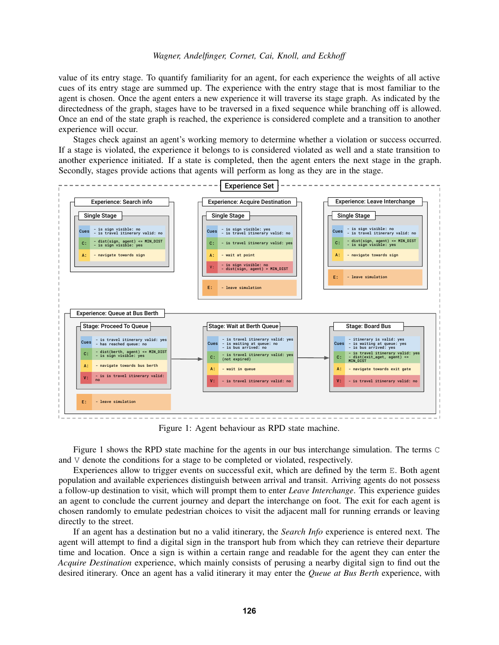value of its entry stage. To quantify familiarity for an agent, for each experience the weights of all active cues of its entry stage are summed up. The experience with the entry stage that is most familiar to the agent is chosen. Once the agent enters a new experience it will traverse its stage graph. As indicated by the directedness of the graph, stages have to be traversed in a fixed sequence while branching off is allowed. Once an end of the state graph is reached, the experience is considered complete and a transition to another experience will occur.

Stages check against an agent's working memory to determine whether a violation or success occurred. If a stage is violated, the experience it belongs to is considered violated as well and a state transition to another experience initiated. If a state is completed, then the agent enters the next stage in the graph. Secondly, stages provide actions that agents will perform as long as they are in the stage.

<span id="page-3-0"></span>

Figure 1: Agent behaviour as RPD state machine.

Figure [1](#page-3-0) shows the RPD state machine for the agents in our bus interchange simulation. The terms C and V denote the conditions for a stage to be completed or violated, respectively.

Experiences allow to trigger events on successful exit, which are defined by the term E. Both agent population and available experiences distinguish between arrival and transit. Arriving agents do not possess a follow-up destination to visit, which will prompt them to enter *Leave Interchange*. This experience guides an agent to conclude the current journey and depart the interchange on foot. The exit for each agent is chosen randomly to emulate pedestrian choices to visit the adjacent mall for running errands or leaving directly to the street.

If an agent has a destination but no a valid itinerary, the *Search Info* experience is entered next. The agent will attempt to find a digital sign in the transport hub from which they can retrieve their departure time and location. Once a sign is within a certain range and readable for the agent they can enter the *Acquire Destination* experience, which mainly consists of perusing a nearby digital sign to find out the desired itinerary. Once an agent has a valid itinerary it may enter the *Queue at Bus Berth* experience, with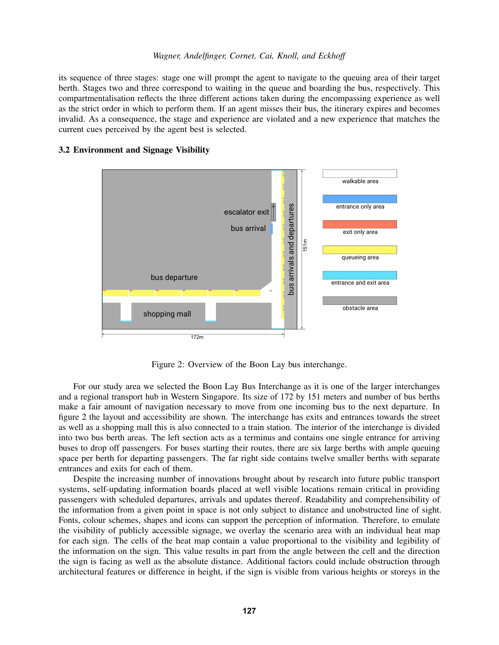its sequence of three stages: stage one will prompt the agent to navigate to the queuing area of their target berth. Stages two and three correspond to waiting in the queue and boarding the bus, respectively. This compartmentalisation reflects the three different actions taken during the encompassing experience as well as the strict order in which to perform them. If an agent misses their bus, the itinerary expires and becomes invalid. As a consequence, the stage and experience are violated and a new experience that matches the current cues perceived by the agent best is selected.

# walkable area entrance only area bus arrivals and departures bus arrivals and departures escalator exit bus arrival exit only area 151m queueing area bus departure entrance and exit area obstacle area shopping mall 172m

## <span id="page-4-0"></span>3.2 Environment and Signage Visibility

Figure 2: Overview of the Boon Lay bus interchange.

For our study area we selected the Boon Lay Bus Interchange as it is one of the larger interchanges and a regional transport hub in Western Singapore. Its size of 172 by 151 meters and number of bus berths make a fair amount of navigation necessary to move from one incoming bus to the next departure. In figure [2](#page-4-0) the layout and accessibility are shown. The interchange has exits and entrances towards the street as well as a shopping mall this is also connected to a train station. The interior of the interchange is divided into two bus berth areas. The left section acts as a terminus and contains one single entrance for arriving buses to drop off passengers. For buses starting their routes, there are six large berths with ample queuing space per berth for departing passengers. The far right side contains twelve smaller berths with separate entrances and exits for each of them.

Despite the increasing number of innovations brought about by research into future public transport systems, self-updating information boards placed at well visible locations remain critical in providing passengers with scheduled departures, arrivals and updates thereof. Readability and comprehensibility of the information from a given point in space is not only subject to distance and unobstructed line of sight. Fonts, colour schemes, shapes and icons can support the perception of information. Therefore, to emulate the visibility of publicly accessible signage, we overlay the scenario area with an individual heat map for each sign. The cells of the heat map contain a value proportional to the visibility and legibility of the information on the sign. This value results in part from the angle between the cell and the direction the sign is facing as well as the absolute distance. Additional factors could include obstruction through architectural features or difference in height, if the sign is visible from various heights or storeys in the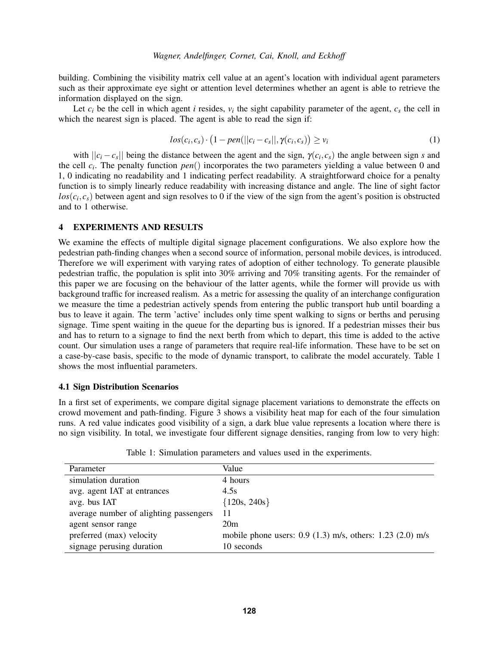building. Combining the visibility matrix cell value at an agent's location with individual agent parameters such as their approximate eye sight or attention level determines whether an agent is able to retrieve the information displayed on the sign.

Let  $c_i$  be the cell in which agent *i* resides,  $v_i$  the sight capability parameter of the agent,  $c_s$  the cell in which the nearest sign is placed. The agent is able to read the sign if:

$$
los(c_i, c_s) \cdot (1 - pen(||c_i - c_s||, \gamma(c_i, c_s)) \geq v_i
$$
\n
$$
(1)
$$

with  $||c_i - c_s||$  being the distance between the agent and the sign,  $\gamma(c_i, c_s)$  the angle between sign *s* and the cell *c<sup>i</sup>* . The penalty function *pen*() incorporates the two parameters yielding a value between 0 and 1, 0 indicating no readability and 1 indicating perfect readability. A straightforward choice for a penalty function is to simply linearly reduce readability with increasing distance and angle. The line of sight factor  $los(c_i, c_s)$  between agent and sign resolves to 0 if the view of the sign from the agent's position is obstructed and to 1 otherwise.

# <span id="page-5-0"></span>4 EXPERIMENTS AND RESULTS

We examine the effects of multiple digital signage placement configurations. We also explore how the pedestrian path-finding changes when a second source of information, personal mobile devices, is introduced. Therefore we will experiment with varying rates of adoption of either technology. To generate plausible pedestrian traffic, the population is split into 30% arriving and 70% transiting agents. For the remainder of this paper we are focusing on the behaviour of the latter agents, while the former will provide us with background traffic for increased realism. As a metric for assessing the quality of an interchange configuration we measure the time a pedestrian actively spends from entering the public transport hub until boarding a bus to leave it again. The term 'active' includes only time spent walking to signs or berths and perusing signage. Time spent waiting in the queue for the departing bus is ignored. If a pedestrian misses their bus and has to return to a signage to find the next berth from which to depart, this time is added to the active count. Our simulation uses a range of parameters that require real-life information. These have to be set on a case-by-case basis, specific to the mode of dynamic transport, to calibrate the model accurately. Table [1](#page-5-1) shows the most influential parameters.

### <span id="page-5-2"></span>4.1 Sign Distribution Scenarios

In a first set of experiments, we compare digital signage placement variations to demonstrate the effects on crowd movement and path-finding. Figure [3](#page-6-0) shows a visibility heat map for each of the four simulation runs. A red value indicates good visibility of a sign, a dark blue value represents a location where there is no sign visibility. In total, we investigate four different signage densities, ranging from low to very high:

<span id="page-5-1"></span>

| Parameter                              | Value                                                       |
|----------------------------------------|-------------------------------------------------------------|
| simulation duration                    | 4 hours                                                     |
| avg. agent IAT at entrances            | 4.5s                                                        |
| avg. bus IAT                           | ${120s, 240s}$                                              |
| average number of alighting passengers | 11                                                          |
| agent sensor range                     | 20m                                                         |
| preferred (max) velocity               | mobile phone users: $0.9$ (1.3) m/s, others: 1.23 (2.0) m/s |
| signage perusing duration              | 10 seconds                                                  |

Table 1: Simulation parameters and values used in the experiments.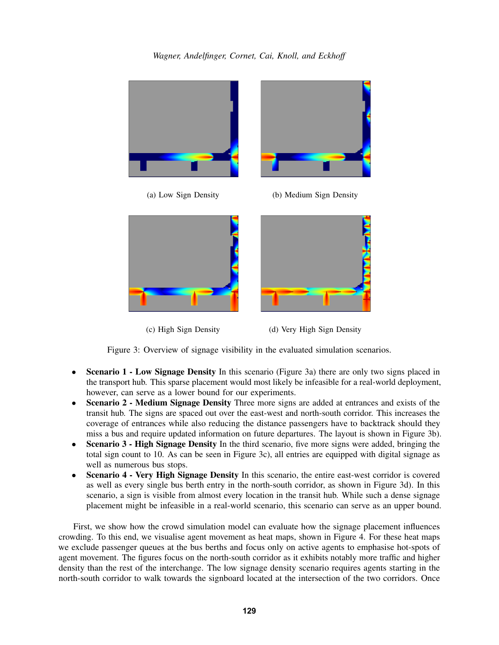

<span id="page-6-0"></span>

(c) High Sign Density (d) Very High Sign Density

Figure 3: Overview of signage visibility in the evaluated simulation scenarios.

- **Scenario 1 Low Signage Density** In this scenario (Figure [3a\)](#page-6-0) there are only two signs placed in the transport hub. This sparse placement would most likely be infeasible for a real-world deployment, however, can serve as a lower bound for our experiments.
- Scenario 2 Medium Signage Density Three more signs are added at entrances and exists of the transit hub. The signs are spaced out over the east-west and north-south corridor. This increases the coverage of entrances while also reducing the distance passengers have to backtrack should they miss a bus and require updated information on future departures. The layout is shown in Figure [3b\)](#page-6-0).
- **Scenario 3 High Signage Density** In the third scenario, five more signs were added, bringing the total sign count to 10. As can be seen in Figure [3c\)](#page-6-0), all entries are equipped with digital signage as well as numerous bus stops.
- Scenario 4 Very High Signage Density In this scenario, the entire east-west corridor is covered as well as every single bus berth entry in the north-south corridor, as shown in Figure [3d\)](#page-6-0). In this scenario, a sign is visible from almost every location in the transit hub. While such a dense signage placement might be infeasible in a real-world scenario, this scenario can serve as an upper bound.

First, we show how the crowd simulation model can evaluate how the signage placement influences crowding. To this end, we visualise agent movement as heat maps, shown in Figure [4.](#page-7-0) For these heat maps we exclude passenger queues at the bus berths and focus only on active agents to emphasise hot-spots of agent movement. The figures focus on the north-south corridor as it exhibits notably more traffic and higher density than the rest of the interchange. The low signage density scenario requires agents starting in the north-south corridor to walk towards the signboard located at the intersection of the two corridors. Once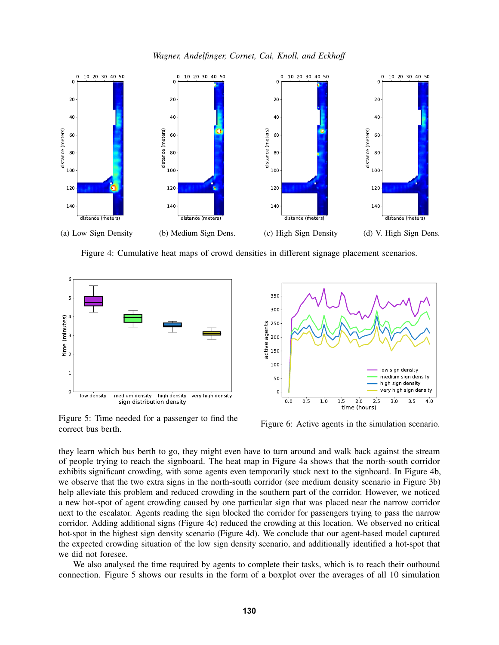*Wagner, Andelfinger, Cornet, Cai, Knoll, and Eckhoff*

<span id="page-7-0"></span>

Figure 4: Cumulative heat maps of crowd densities in different signage placement scenarios.

<span id="page-7-1"></span>

Figure 5: Time needed for a passenger to find the correct bus berth.

Figure 6: Active agents in the simulation scenario.

they learn which bus berth to go, they might even have to turn around and walk back against the stream of people trying to reach the signboard. The heat map in Figure [4a](#page-7-0) shows that the north-south corridor exhibits significant crowding, with some agents even temporarily stuck next to the signboard. In Figure [4b,](#page-7-0) we observe that the two extra signs in the north-south corridor (see medium density scenario in Figure [3b\)](#page-6-0) help alleviate this problem and reduced crowding in the southern part of the corridor. However, we noticed a new hot-spot of agent crowding caused by one particular sign that was placed near the narrow corridor next to the escalator. Agents reading the sign blocked the corridor for passengers trying to pass the narrow corridor. Adding additional signs (Figure [4c\)](#page-7-0) reduced the crowding at this location. We observed no critical hot-spot in the highest sign density scenario (Figure [4d\)](#page-7-0). We conclude that our agent-based model captured the expected crowding situation of the low sign density scenario, and additionally identified a hot-spot that we did not foresee.

We also analysed the time required by agents to complete their tasks, which is to reach their outbound connection. Figure [5](#page-7-1) shows our results in the form of a boxplot over the averages of all 10 simulation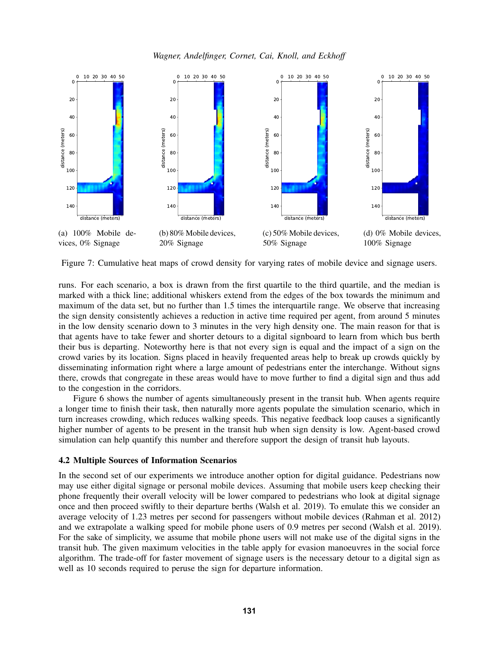*Wagner, Andelfinger, Cornet, Cai, Knoll, and Eckhoff*

<span id="page-8-0"></span>

Figure 7: Cumulative heat maps of crowd density for varying rates of mobile device and signage users.

runs. For each scenario, a box is drawn from the first quartile to the third quartile, and the median is marked with a thick line; additional whiskers extend from the edges of the box towards the minimum and maximum of the data set, but no further than 1.5 times the interquartile range. We observe that increasing the sign density consistently achieves a reduction in active time required per agent, from around 5 minutes in the low density scenario down to 3 minutes in the very high density one. The main reason for that is that agents have to take fewer and shorter detours to a digital signboard to learn from which bus berth their bus is departing. Noteworthy here is that not every sign is equal and the impact of a sign on the crowd varies by its location. Signs placed in heavily frequented areas help to break up crowds quickly by disseminating information right where a large amount of pedestrians enter the interchange. Without signs there, crowds that congregate in these areas would have to move further to find a digital sign and thus add to the congestion in the corridors.

Figure [6](#page-7-1) shows the number of agents simultaneously present in the transit hub. When agents require a longer time to finish their task, then naturally more agents populate the simulation scenario, which in turn increases crowding, which reduces walking speeds. This negative feedback loop causes a significantly higher number of agents to be present in the transit hub when sign density is low. Agent-based crowd simulation can help quantify this number and therefore support the design of transit hub layouts.

### 4.2 Multiple Sources of Information Scenarios

In the second set of our experiments we introduce another option for digital guidance. Pedestrians now may use either digital signage or personal mobile devices. Assuming that mobile users keep checking their phone frequently their overall velocity will be lower compared to pedestrians who look at digital signage once and then proceed swiftly to their departure berths [\(Walsh et al. 2019\)](#page-10-14). To emulate this we consider an average velocity of 1.23 metres per second for passengers without mobile devices [\(Rahman et al. 2012\)](#page-10-15) and we extrapolate a walking speed for mobile phone users of 0.9 metres per second [\(Walsh et al. 2019\)](#page-10-14). For the sake of simplicity, we assume that mobile phone users will not make use of the digital signs in the transit hub. The given maximum velocities in the table apply for evasion manoeuvres in the social force algorithm. The trade-off for faster movement of signage users is the necessary detour to a digital sign as well as 10 seconds required to peruse the sign for departure information.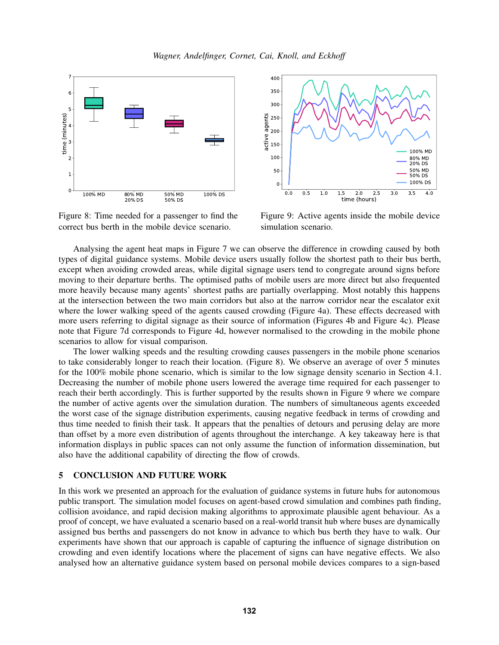

<span id="page-9-1"></span>

Figure 8: Time needed for a passenger to find the correct bus berth in the mobile device scenario.



Figure 9: Active agents inside the mobile device simulation scenario.

Analysing the agent heat maps in Figure [7](#page-8-0) we can observe the difference in crowding caused by both types of digital guidance systems. Mobile device users usually follow the shortest path to their bus berth, except when avoiding crowded areas, while digital signage users tend to congregate around signs before moving to their departure berths. The optimised paths of mobile users are more direct but also frequented more heavily because many agents' shortest paths are partially overlapping. Most notably this happens at the intersection between the two main corridors but also at the narrow corridor near the escalator exit where the lower walking speed of the agents caused crowding (Figure [4a\)](#page-7-0). These effects decreased with more users referring to digital signage as their source of information (Figures [4b](#page-7-0) and Figure [4c\)](#page-7-0). Please note that Figure [7d](#page-8-0) corresponds to Figure [4d,](#page-7-0) however normalised to the crowding in the mobile phone scenarios to allow for visual comparison.

The lower walking speeds and the resulting crowding causes passengers in the mobile phone scenarios to take considerably longer to reach their location. (Figure [8\)](#page-9-1). We observe an average of over 5 minutes for the 100% mobile phone scenario, which is similar to the low signage density scenario in Section [4.1.](#page-5-2) Decreasing the number of mobile phone users lowered the average time required for each passenger to reach their berth accordingly. This is further supported by the results shown in Figure [9](#page-9-1) where we compare the number of active agents over the simulation duration. The numbers of simultaneous agents exceeded the worst case of the signage distribution experiments, causing negative feedback in terms of crowding and thus time needed to finish their task. It appears that the penalties of detours and perusing delay are more than offset by a more even distribution of agents throughout the interchange. A key takeaway here is that information displays in public spaces can not only assume the function of information dissemination, but also have the additional capability of directing the flow of crowds.

# <span id="page-9-0"></span>5 CONCLUSION AND FUTURE WORK

In this work we presented an approach for the evaluation of guidance systems in future hubs for autonomous public transport. The simulation model focuses on agent-based crowd simulation and combines path finding, collision avoidance, and rapid decision making algorithms to approximate plausible agent behaviour. As a proof of concept, we have evaluated a scenario based on a real-world transit hub where buses are dynamically assigned bus berths and passengers do not know in advance to which bus berth they have to walk. Our experiments have shown that our approach is capable of capturing the influence of signage distribution on crowding and even identify locations where the placement of signs can have negative effects. We also analysed how an alternative guidance system based on personal mobile devices compares to a sign-based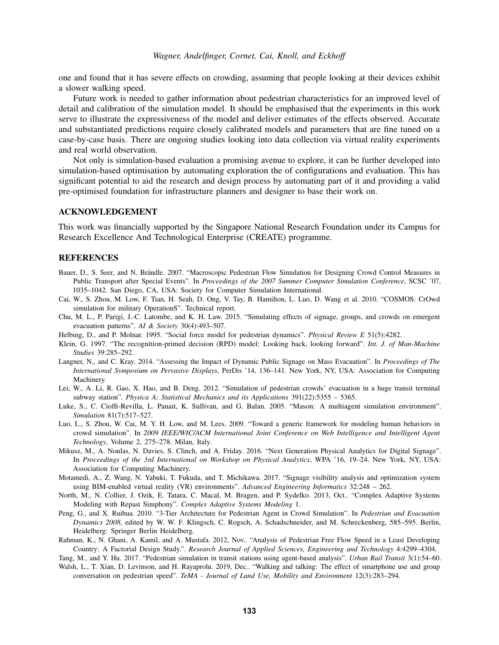one and found that it has severe effects on crowding, assuming that people looking at their devices exhibit a slower walking speed.

Future work is needed to gather information about pedestrian characteristics for an improved level of detail and calibration of the simulation model. It should be emphasised that the experiments in this work serve to illustrate the expressiveness of the model and deliver estimates of the effects observed. Accurate and substantiated predictions require closely calibrated models and parameters that are fine tuned on a case-by-case basis. There are ongoing studies looking into data collection via virtual reality experiments and real world observation.

Not only is simulation-based evaluation a promising avenue to explore, it can be further developed into simulation-based optimisation by automating exploration the of configurations and evaluation. This has significant potential to aid the research and design process by automating part of it and providing a valid pre-optimised foundation for infrastructure planners and designer to base their work on.

### ACKNOWLEDGEMENT

This work was financially supported by the Singapore National Research Foundation under its Campus for Research Excellence And Technological Enterprise (CREATE) programme.

#### **REFERENCES**

- <span id="page-10-4"></span>Bauer, D., S. Seer, and N. Brändle. 2007. "Macroscopic Pedestrian Flow Simulation for Designing Crowd Control Measures in Public Transport after Special Events". In *Proceedings of the 2007 Summer Computer Simulation Conference*, SCSC '07, 1035–1042. San Diego, CA, USA: Society for Computer Simulation International.
- <span id="page-10-8"></span>Cai, W., S. Zhou, M. Low, F. Tian, H. Seah, D. Ong, V. Tay, B. Hamilton, L. Luo, D. Wang et al. 2010. "COSMOS: CrOwd simulation for military OperationS". Technical report.
- <span id="page-10-1"></span>Chu, M. L., P. Parigi, J.-C. Latombe, and K. H. Law. 2015. "Simulating effects of signage, groups, and crowds on emergent evacuation patterns". *AI & Society* 30(4):493–507.
- <span id="page-10-12"></span>Helbing, D., and P. Molnar. 1995. "Social force model for pedestrian dynamics". *Physical Review E* 51(5):4282.
- <span id="page-10-13"></span>Klein, G. 1997. "The recognition-primed decision (RPD) model: Looking back, looking forward". *Int. J. of Man-Machine Studies* 39:285–292.
- <span id="page-10-2"></span>Langner, N., and C. Kray. 2014. "Assessing the Impact of Dynamic Public Signage on Mass Evacuation". In *Proceedings of The International Symposium on Pervasive Displays*, PerDis '14, 136–141. New York, NY, USA: Association for Computing Machinery.
- <span id="page-10-0"></span>Lei, W., A. Li, R. Gao, X. Hao, and B. Deng. 2012. "Simulation of pedestrian crowds' evacuation in a huge transit terminal subway station". *Physica A: Statistical Mechanics and its Applications* 391(22):5355 – 5365.
- <span id="page-10-10"></span>Luke, S., C. Cioffi-Revilla, L. Panait, K. Sullivan, and G. Balan. 2005. "Mason: A multiagent simulation environment". *Simulation* 81(7):517–527.
- <span id="page-10-9"></span>Luo, L., S. Zhou, W. Cai, M. Y. H. Low, and M. Lees. 2009. "Toward a generic framework for modeling human behaviors in crowd simulation". In *2009 IEEE/WIC/ACM International Joint Conference on Web Intelligence and Intelligent Agent Technology*, Volume 2, 275–278. Milan, Italy.
- <span id="page-10-3"></span>Mikusz, M., A. Noulas, N. Davies, S. Clinch, and A. Friday. 2016. "Next Generation Physical Analytics for Digital Signage". In *Proceedings of the 3rd International on Workshop on Physical Analytics*, WPA '16, 19–24. New York, NY, USA: Association for Computing Machinery.
- <span id="page-10-5"></span>Motamedi, A., Z. Wang, N. Yabuki, T. Fukuda, and T. Michikawa. 2017. "Signage visibility analysis and optimization system using BIM-enabled virtual reality (VR) environments". *Advanced Engineering Informatics* 32:248 – 262.
- <span id="page-10-11"></span>North, M., N. Collier, J. Ozik, E. Tatara, C. Macal, M. Bragen, and P. Sydelko. 2013, Oct.. "Complex Adaptive Systems Modeling with Repast Simphony". *Complex Adaptive Systems Modeling* 1.
- <span id="page-10-7"></span>Peng, G., and X. Ruihua. 2010. "3-Tier Architecture for Pedestrian Agent in Crowd Simulation". In *Pedestrian and Evacuation Dynamics 2008*, edited by W. W. F. Klingsch, C. Rogsch, A. Schadschneider, and M. Schreckenberg, 585–595. Berlin, Heidelberg: Springer Berlin Heidelberg.
- <span id="page-10-15"></span>Rahman, K., N. Ghani, A. Kamil, and A. Mustafa. 2012, Nov.. "Analysis of Pedestrian Free Flow Speed in a Least Developing Country: A Factorial Design Study.". *Research Journal of Applied Sciences, Engineering and Technology* 4:4299–4304.

<span id="page-10-6"></span>Tang, M., and Y. Hu. 2017. "Pedestrian simulation in transit stations using agent-based analysis". *Urban Rail Transit* 3(1):54–60.

<span id="page-10-14"></span>Walsh, L., T. Xian, D. Levinson, and H. Rayaprolu. 2019, Dec.. "Walking and talking: The effect of smartphone use and group conversation on pedestrian speed". *TeMA - Journal of Land Use, Mobility and Environment* 12(3):283–294.